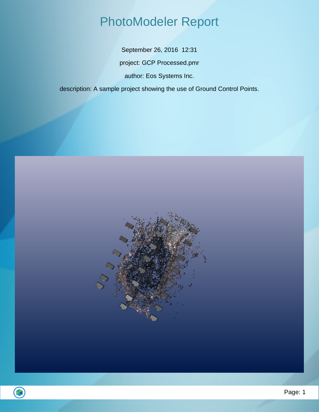## PhotoModeler Report

September 26, 2016 12:31 project: GCP Processed.pmr author: Eos Systems Inc.

description: A sample project showing the use of Ground Control Points.

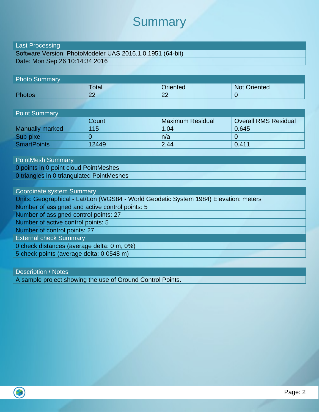#### **Summary**

#### Last Processing

Software Version: PhotoModeler UAS 2016.1.0.1951 (64-bit) Date: Mon Sep 26 10:14:34 2016

| <b>Photo Summary</b> |          |          |              |  |
|----------------------|----------|----------|--------------|--|
|                      | Total    | Oriented | Not Oriented |  |
| <b>Photos</b>        | ററ<br>LL | 22       |              |  |

| <b>Point Summary</b>   |       |                         |                             |  |
|------------------------|-------|-------------------------|-----------------------------|--|
|                        | Count | <b>Maximum Residual</b> | <b>Overall RMS Residual</b> |  |
| <b>Manually marked</b> | 115   | 1.04                    | 0.645                       |  |
| Sub-pixel              |       | n/a                     |                             |  |
| <b>SmartPoints</b>     | 12449 | 2.44                    | 0.411                       |  |

PointMesh Summary 0 points in 0 point cloud PointMeshes 0 triangles in 0 triangulated PointMeshes

Coordinate system Summary Units: Geographical - Lat/Lon (WGS84 - World Geodetic System 1984) Elevation: meters Number of assigned and active control points: 5 Number of assigned control points: 27 Number of active control points: 5 Number of control points: 27 External check Summary 0 check distances (average delta: 0 m, 0%) 5 check points (average delta: 0.0548 m)

Description / Notes

A sample project showing the use of Ground Control Points.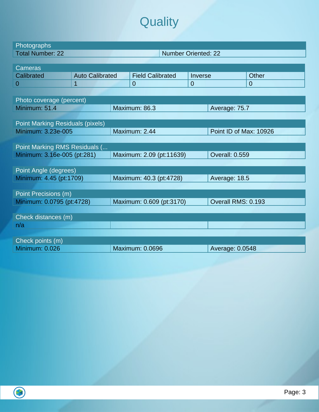# **Quality**

| Photographs                             |                        |  |                            |                |                        |                |
|-----------------------------------------|------------------------|--|----------------------------|----------------|------------------------|----------------|
| <b>Total Number: 22</b>                 |                        |  | <b>Number Oriented: 22</b> |                |                        |                |
|                                         |                        |  |                            |                |                        |                |
| <b>Cameras</b>                          |                        |  |                            |                |                        |                |
| Calibrated                              | <b>Auto Calibrated</b> |  | <b>Field Calibrated</b>    | Inverse        |                        | Other          |
| $\overline{0}$                          | $\overline{1}$         |  | $\overline{0}$             | $\overline{0}$ |                        | $\overline{0}$ |
|                                         |                        |  |                            |                |                        |                |
| Photo coverage (percent)                |                        |  |                            |                |                        |                |
| Minimum: 51.4                           |                        |  | Maximum: 86.3              |                | Average: 75.7          |                |
|                                         |                        |  |                            |                |                        |                |
| <b>Point Marking Residuals (pixels)</b> |                        |  |                            |                |                        |                |
| Minimum: 3.23e-005                      |                        |  | Maximum: 2.44              |                | Point ID of Max: 10926 |                |
|                                         |                        |  |                            |                |                        |                |
| Point Marking RMS Residuals (           |                        |  |                            |                |                        |                |
| Minimum: 3.16e-005 (pt:281)             |                        |  | Maximum: 2.09 (pt:11639)   |                | <b>Overall: 0.559</b>  |                |
|                                         |                        |  |                            |                |                        |                |
| Point Angle (degrees)                   |                        |  |                            |                |                        |                |
| Minimum: 4.45 (pt:1709)                 |                        |  | Maximum: 40.3 (pt:4728)    |                | Average: 18.5          |                |
|                                         |                        |  |                            |                |                        |                |
| Point Precisions (m)                    |                        |  |                            |                |                        |                |
| Minimum: 0.0795 (pt:4728)               |                        |  | Maximum: 0.609 (pt:3170)   |                | Overall RMS: 0.193     |                |
|                                         |                        |  |                            |                |                        |                |
| Check distances (m)                     |                        |  |                            |                |                        |                |
| n/a                                     |                        |  |                            |                |                        |                |
|                                         |                        |  |                            |                |                        |                |
| Check points (m)                        |                        |  |                            |                |                        |                |
| <b>Minimum: 0.026</b>                   |                        |  | <b>Maximum: 0.0696</b>     |                | Average: 0.0548        |                |
|                                         |                        |  |                            |                |                        |                |

 $\overline{\bigcirc}$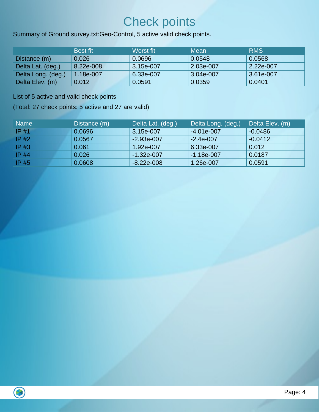## Check points

Summary of Ground survey.txt:Geo-Control, 5 active valid check points.

|                    | <b>Best fit</b> | Worst fit | Mean      | <b>RMS</b> |
|--------------------|-----------------|-----------|-----------|------------|
| Distance (m)       | 0.026           | 0.0696    | 0.0548    | 0.0568     |
| Delta Lat. (deg.)  | 8.22e-008       | 3.15e-007 | 2.03e-007 | 2.22e-007  |
| Delta Long. (deg.) | 1.18e-007       | 6.33e-007 | 3.04e-007 | 3.61e-007  |
| Delta Elev. (m)    | 0.012           | 0.0591    | 0.0359    | 0.0401     |

List of 5 active and valid check points

(Total: 27 check points: 5 active and 27 are valid)

| <b>Name</b> | Distance (m) | Delta Lat. (deg.) | Delta Long. (deg.) | Delta Elev. (m) |
|-------------|--------------|-------------------|--------------------|-----------------|
| $IP$ #1     | 0.0696       | 3.15e-007         | $-4.01e-007$       | $-0.0486$       |
| $IP$ #2     | 0.0567       | $-2.93e-007$      | $-2.4e-007$        | $-0.0412$       |
| $IP$ #3     | 0.061        | 1.92e-007         | 6.33e-007          | 0.012           |
| $IP$ #4     | 0.026        | $-1.32e-007$      | $-1.18e-007$       | 0.0187          |
| $IP$ #5     | 0.0608       | $-8.22e-008$      | 1.26e-007          | 0.0591          |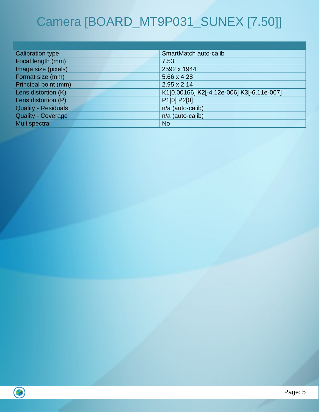# Camera [BOARD\_MT9P031\_SUNEX [7.50]]

| <b>Calibration type</b>    | SmartMatch auto-calib                     |
|----------------------------|-------------------------------------------|
| Focal length (mm)          | 7.53                                      |
| Image size (pixels)        | 2592 x 1944                               |
| Format size (mm)           | 5.66 x 4.28                               |
| Principal point (mm)       | $2.95 \times 2.14$                        |
| Lens distortion (K)        | K1[0.00166] K2[-4.12e-006] K3[-6.11e-007] |
| Lens distortion (P)        | P <sub>1</sub> [0] P <sub>2</sub> [0]     |
| <b>Quality - Residuals</b> | n/a (auto-calib)                          |
| <b>Quality - Coverage</b>  | n/a (auto-calib)                          |
| Multispectral              | <b>No</b>                                 |

 $\bigcirc$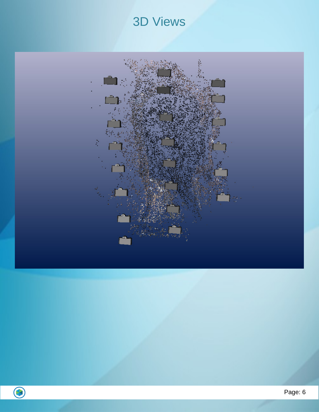## 3D Views



 $\bigodot$